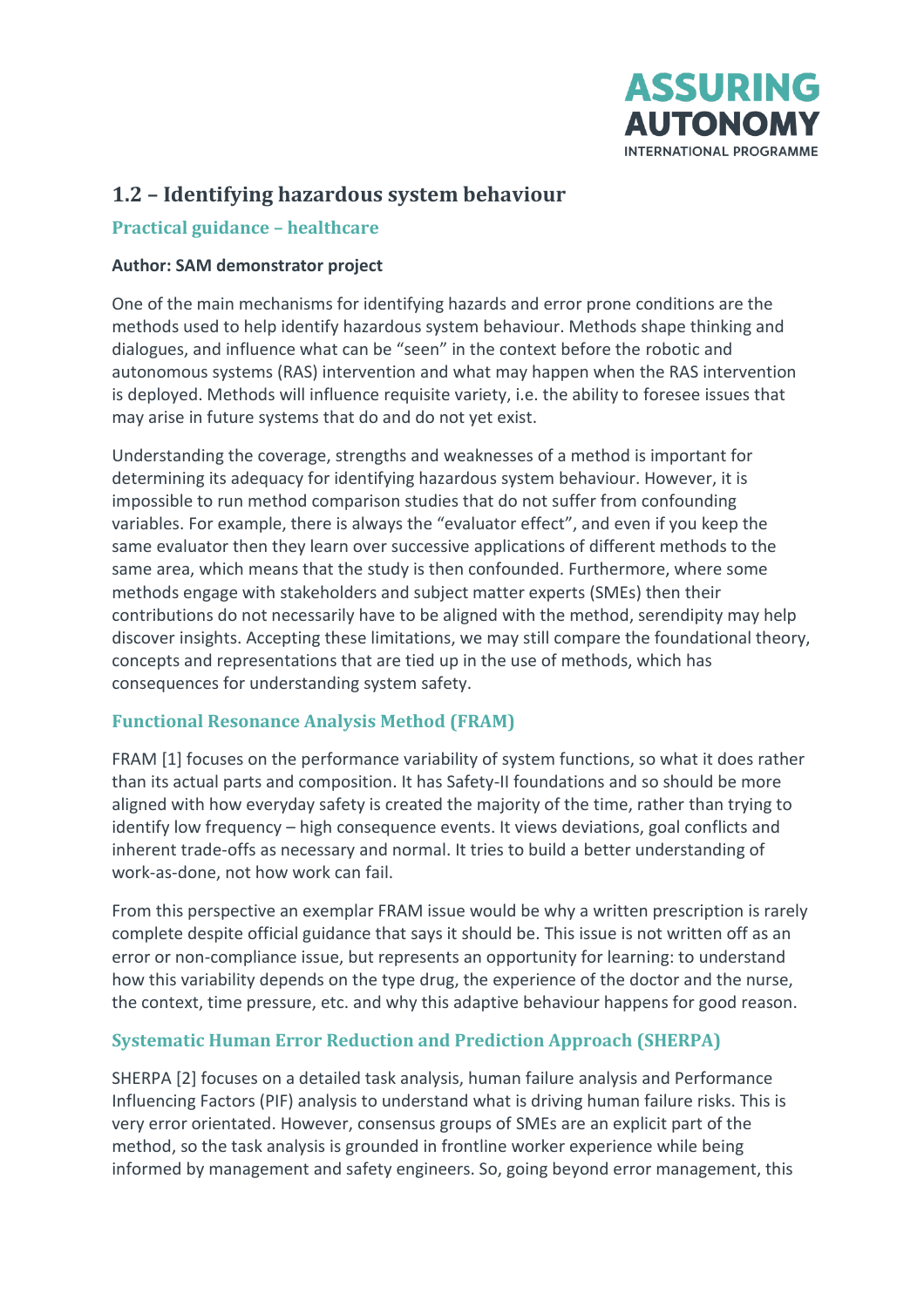

# **1.2 – Identifying hazardous system behaviour**

#### **Practical guidance – healthcare**

#### **Author: SAM demonstrator project**

One of the main mechanisms for identifying hazards and error prone conditions are the methods used to help identify hazardous system behaviour. Methods shape thinking and dialogues, and influence what can be "seen" in the context before the robotic and autonomous systems (RAS) intervention and what may happen when the RAS intervention is deployed. Methods will influence requisite variety, i.e. the ability to foresee issues that may arise in future systems that do and do not yet exist.

Understanding the coverage, strengths and weaknesses of a method is important for determining its adequacy for identifying hazardous system behaviour. However, it is impossible to run method comparison studies that do not suffer from confounding variables. For example, there is always the "evaluator effect", and even if you keep the same evaluator then they learn over successive applications of different methods to the same area, which means that the study is then confounded. Furthermore, where some methods engage with stakeholders and subject matter experts (SMEs) then their contributions do not necessarily have to be aligned with the method, serendipity may help discover insights. Accepting these limitations, we may still compare the foundational theory, concepts and representations that are tied up in the use of methods, which has consequences for understanding system safety.

#### **Functional Resonance Analysis Method (FRAM)**

FRAM [1] focuses on the performance variability of system functions, so what it does rather than its actual parts and composition. It has Safety-II foundations and so should be more aligned with how everyday safety is created the majority of the time, rather than trying to identify low frequency – high consequence events. It views deviations, goal conflicts and inherent trade-offs as necessary and normal. It tries to build a better understanding of work-as-done, not how work can fail.

From this perspective an exemplar FRAM issue would be why a written prescription is rarely complete despite official guidance that says it should be. This issue is not written off as an error or non-compliance issue, but represents an opportunity for learning: to understand how this variability depends on the type drug, the experience of the doctor and the nurse, the context, time pressure, etc. and why this adaptive behaviour happens for good reason.

## **Systematic Human Error Reduction and Prediction Approach (SHERPA)**

SHERPA [2] focuses on a detailed task analysis, human failure analysis and Performance Influencing Factors (PIF) analysis to understand what is driving human failure risks. This is very error orientated. However, consensus groups of SMEs are an explicit part of the method, so the task analysis is grounded in frontline worker experience while being informed by management and safety engineers. So, going beyond error management, this